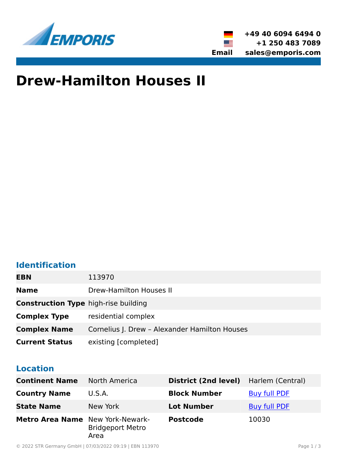



# **Drew-Hamilton Houses II**

## **Identification**

| <b>EBN</b>                                  | 113970                                        |
|---------------------------------------------|-----------------------------------------------|
| <b>Name</b>                                 | <b>Drew-Hamilton Houses II</b>                |
| <b>Construction Type high-rise building</b> |                                               |
| <b>Complex Type</b>                         | residential complex                           |
| <b>Complex Name</b>                         | Cornelius J. Drew - Alexander Hamilton Houses |
| <b>Current Status</b>                       | existing [completed]                          |

#### **Location**

| <b>Continent Name</b>                   | <b>North America</b>            | <b>District (2nd level)</b> Harlem (Central) |                     |
|-----------------------------------------|---------------------------------|----------------------------------------------|---------------------|
| <b>Country Name</b>                     | U.S.A.                          | <b>Block Number</b>                          | <b>Buy full PDF</b> |
| <b>State Name</b>                       | New York                        | <b>Lot Number</b>                            | <b>Buy full PDF</b> |
| <b>Metro Area Name</b> New York-Newark- | <b>Bridgeport Metro</b><br>Area | <b>Postcode</b>                              | 10030               |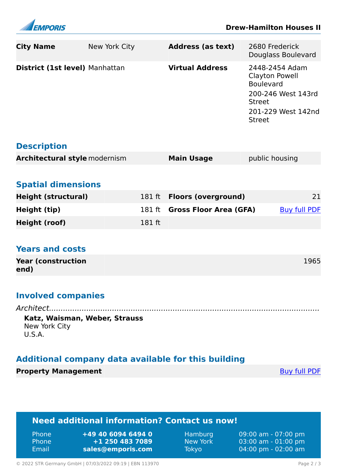

| <b>City Name</b>                                                       | New York City |          | <b>Address (as text)</b>      | 2680 Frederick<br>Douglass Boulevard                                                                                               |  |  |
|------------------------------------------------------------------------|---------------|----------|-------------------------------|------------------------------------------------------------------------------------------------------------------------------------|--|--|
| District (1st level) Manhattan                                         |               |          | <b>Virtual Address</b>        | 2448-2454 Adam<br>Clayton Powell<br><b>Boulevard</b><br>200-246 West 143rd<br><b>Street</b><br>201-229 West 142nd<br><b>Street</b> |  |  |
| <b>Description</b>                                                     |               |          |                               |                                                                                                                                    |  |  |
| <b>Architectural style modernism</b>                                   |               |          | <b>Main Usage</b>             | public housing                                                                                                                     |  |  |
|                                                                        |               |          |                               |                                                                                                                                    |  |  |
| <b>Spatial dimensions</b>                                              |               |          |                               |                                                                                                                                    |  |  |
| <b>Height (structural)</b>                                             |               | $181$ ft | <b>Floors (overground)</b>    | 21                                                                                                                                 |  |  |
| Height (tip)                                                           |               | 181 ft   | <b>Gross Floor Area (GFA)</b> | <b>Buy full PDF</b>                                                                                                                |  |  |
| <b>Height (roof)</b>                                                   |               | 181 ft   |                               |                                                                                                                                    |  |  |
|                                                                        |               |          |                               |                                                                                                                                    |  |  |
| <b>Years and costs</b>                                                 |               |          |                               |                                                                                                                                    |  |  |
| <b>Year (construction</b><br>end)                                      |               |          |                               | 1965                                                                                                                               |  |  |
|                                                                        |               |          |                               |                                                                                                                                    |  |  |
| <b>Involved companies</b>                                              |               |          |                               |                                                                                                                                    |  |  |
| Architect.<br>Katz, Waisman, Weber, Strauss<br>New York City<br>U.S.A. |               |          |                               |                                                                                                                                    |  |  |
| <b>Additional company data available for this building</b>             |               |          |                               |                                                                                                                                    |  |  |
| <b>Property Management</b>                                             |               |          |                               | <b>Buy full PDF</b>                                                                                                                |  |  |

### **Need additional information? Contact us now!**

Phone **+49 40 6094 6494 0**<br>Phone **+1 250 483 7089** Phone **+1 250 483 7089**<br>Email **5ales@emporis.com** Email **<sales@emporis.com>**

Hamburg 09:00 am - 07:00 pm<br>New York 03:00 am - 01:00 pm New York 03:00 am - 01:00 pm<br>Tokyo 04:00 pm - 02:00 am 04:00 pm - 02:00 am